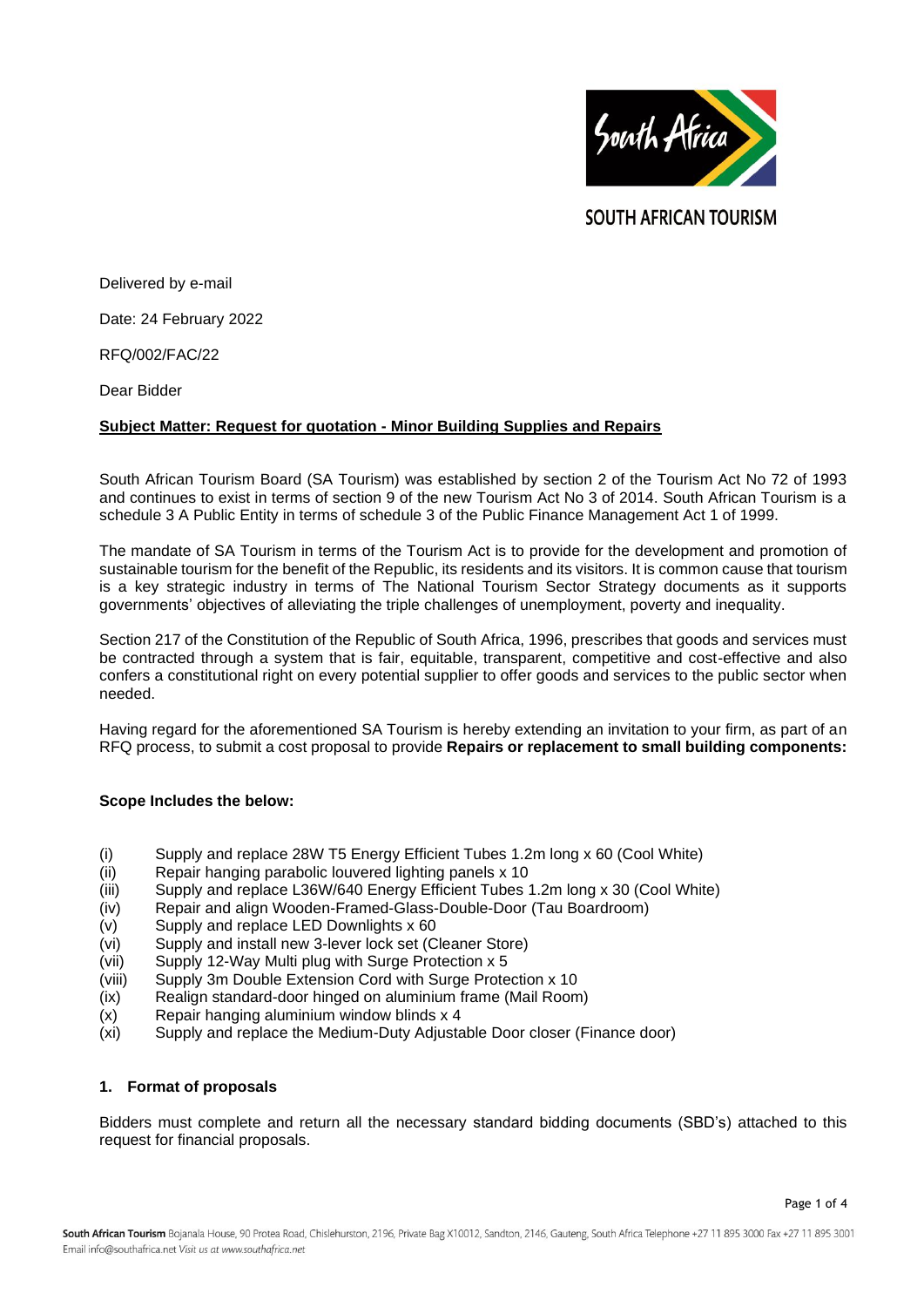

**SOUTH AFRICAN TOURISM** 

Delivered by e-mail

Date: 24 February 2022

RFQ/002/FAC/22

Dear Bidder

### **Subject Matter: Request for quotation - Minor Building Supplies and Repairs**

South African Tourism Board (SA Tourism) was established by section 2 of the Tourism Act No 72 of 1993 and continues to exist in terms of section 9 of the new Tourism Act No 3 of 2014. South African Tourism is a schedule 3 A Public Entity in terms of schedule 3 of the Public Finance Management Act 1 of 1999.

The mandate of SA Tourism in terms of the Tourism Act is to provide for the development and promotion of sustainable tourism for the benefit of the Republic, its residents and its visitors. It is common cause that tourism is a key strategic industry in terms of The National Tourism Sector Strategy documents as it supports governments' objectives of alleviating the triple challenges of unemployment, poverty and inequality.

Section 217 of the Constitution of the Republic of South Africa, 1996, prescribes that goods and services must be contracted through a system that is fair, equitable, transparent, competitive and cost-effective and also confers a constitutional right on every potential supplier to offer goods and services to the public sector when needed.

Having regard for the aforementioned SA Tourism is hereby extending an invitation to your firm, as part of an RFQ process, to submit a cost proposal to provide **Repairs or replacement to small building components:**

#### **Scope Includes the below:**

- (i) Supply and replace 28W T5 Energy Efficient Tubes 1.2m long x 60 (Cool White)
- (ii) Repair hanging parabolic louvered lighting panels x 10
- (iii) Supply and replace L36W/640 Energy Efficient Tubes 1.2m long x 30 (Cool White)
- (iv) Repair and align Wooden-Framed-Glass-Double-Door (Tau Boardroom)
- $(v)$  Supply and replace LED Downlights x 60
- (vi) Supply and install new 3-lever lock set (Cleaner Store)
- (vii) Supply 12-Way Multi plug with Surge Protection x 5
- (viii) Supply 3m Double Extension Cord with Surge Protection x 10
- (ix) Realign standard-door hinged on aluminium frame (Mail Room)
- (x) Repair hanging aluminium window blinds x 4
- (xi) Supply and replace the Medium-Duty Adjustable Door closer (Finance door)

# **1. Format of proposals**

Bidders must complete and return all the necessary standard bidding documents (SBD's) attached to this request for financial proposals.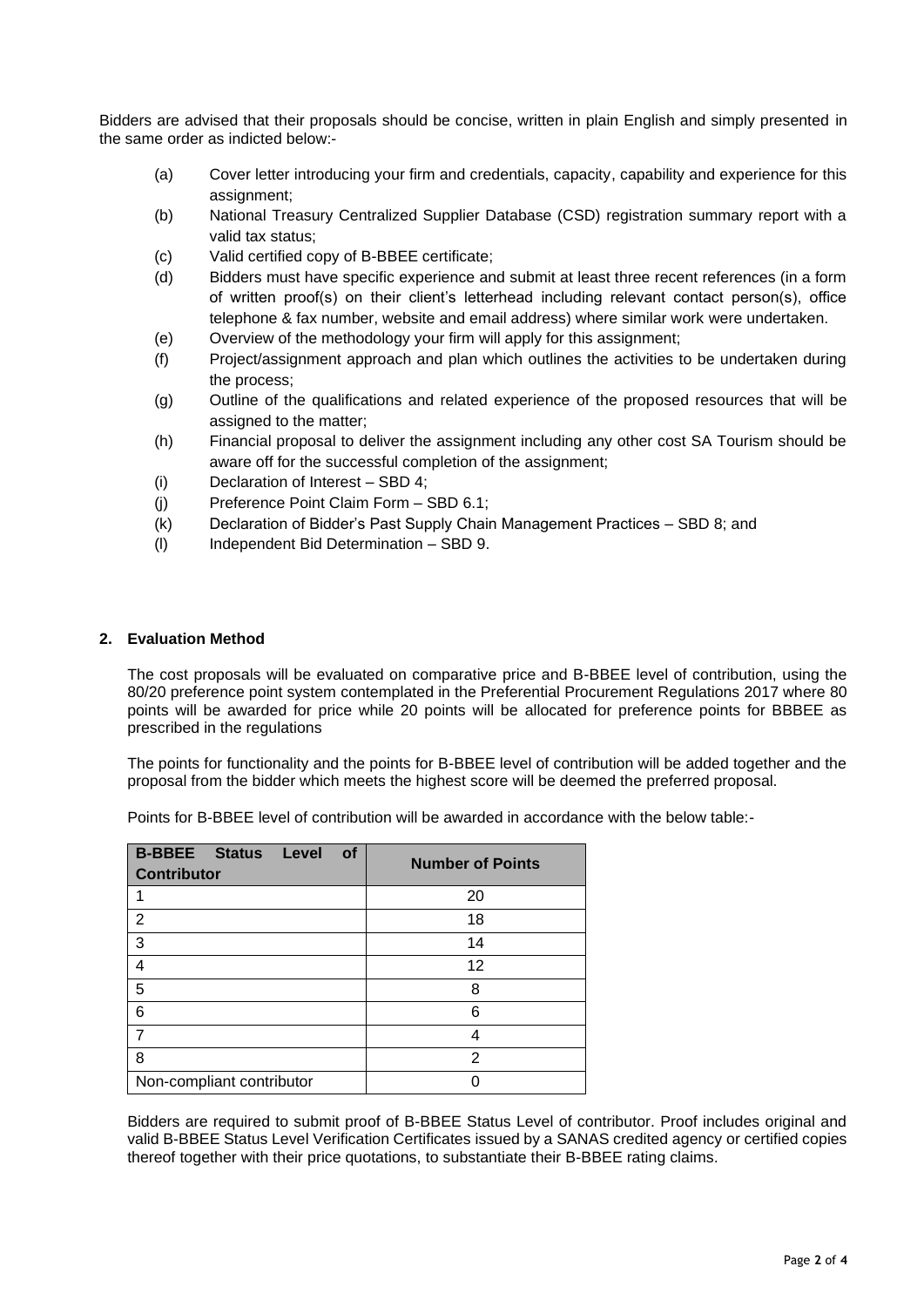Bidders are advised that their proposals should be concise, written in plain English and simply presented in the same order as indicted below:-

- (a) Cover letter introducing your firm and credentials, capacity, capability and experience for this assignment;
- (b) National Treasury Centralized Supplier Database (CSD) registration summary report with a valid tax status;
- (c) Valid certified copy of B-BBEE certificate;
- (d) Bidders must have specific experience and submit at least three recent references (in a form of written proof(s) on their client's letterhead including relevant contact person(s), office telephone & fax number, website and email address) where similar work were undertaken.
- (e) Overview of the methodology your firm will apply for this assignment;
- (f) Project/assignment approach and plan which outlines the activities to be undertaken during the process;
- (g) Outline of the qualifications and related experience of the proposed resources that will be assigned to the matter;
- (h) Financial proposal to deliver the assignment including any other cost SA Tourism should be aware off for the successful completion of the assignment;
- (i) Declaration of Interest SBD 4;
- (j) Preference Point Claim Form SBD 6.1;
- (k) Declaration of Bidder's Past Supply Chain Management Practices SBD 8; and
- (l) Independent Bid Determination SBD 9.

### **2. Evaluation Method**

The cost proposals will be evaluated on comparative price and B-BBEE level of contribution, using the 80/20 preference point system contemplated in the Preferential Procurement Regulations 2017 where 80 points will be awarded for price while 20 points will be allocated for preference points for BBBEE as prescribed in the regulations

The points for functionality and the points for B-BBEE level of contribution will be added together and the proposal from the bidder which meets the highest score will be deemed the preferred proposal.

Points for B-BBEE level of contribution will be awarded in accordance with the below table:-

| <b>B-BBEE</b> Status<br>Level<br><b>of</b><br><b>Contributor</b> | <b>Number of Points</b> |
|------------------------------------------------------------------|-------------------------|
|                                                                  | 20                      |
| $\overline{2}$                                                   | 18                      |
| 3                                                                | 14                      |
| 4                                                                | 12                      |
| 5                                                                | 8                       |
| 6                                                                | 6                       |
|                                                                  |                         |
| 8                                                                | 2                       |
| Non-compliant contributor                                        |                         |

Bidders are required to submit proof of B-BBEE Status Level of contributor. Proof includes original and valid B-BBEE Status Level Verification Certificates issued by a SANAS credited agency or certified copies thereof together with their price quotations, to substantiate their B-BBEE rating claims.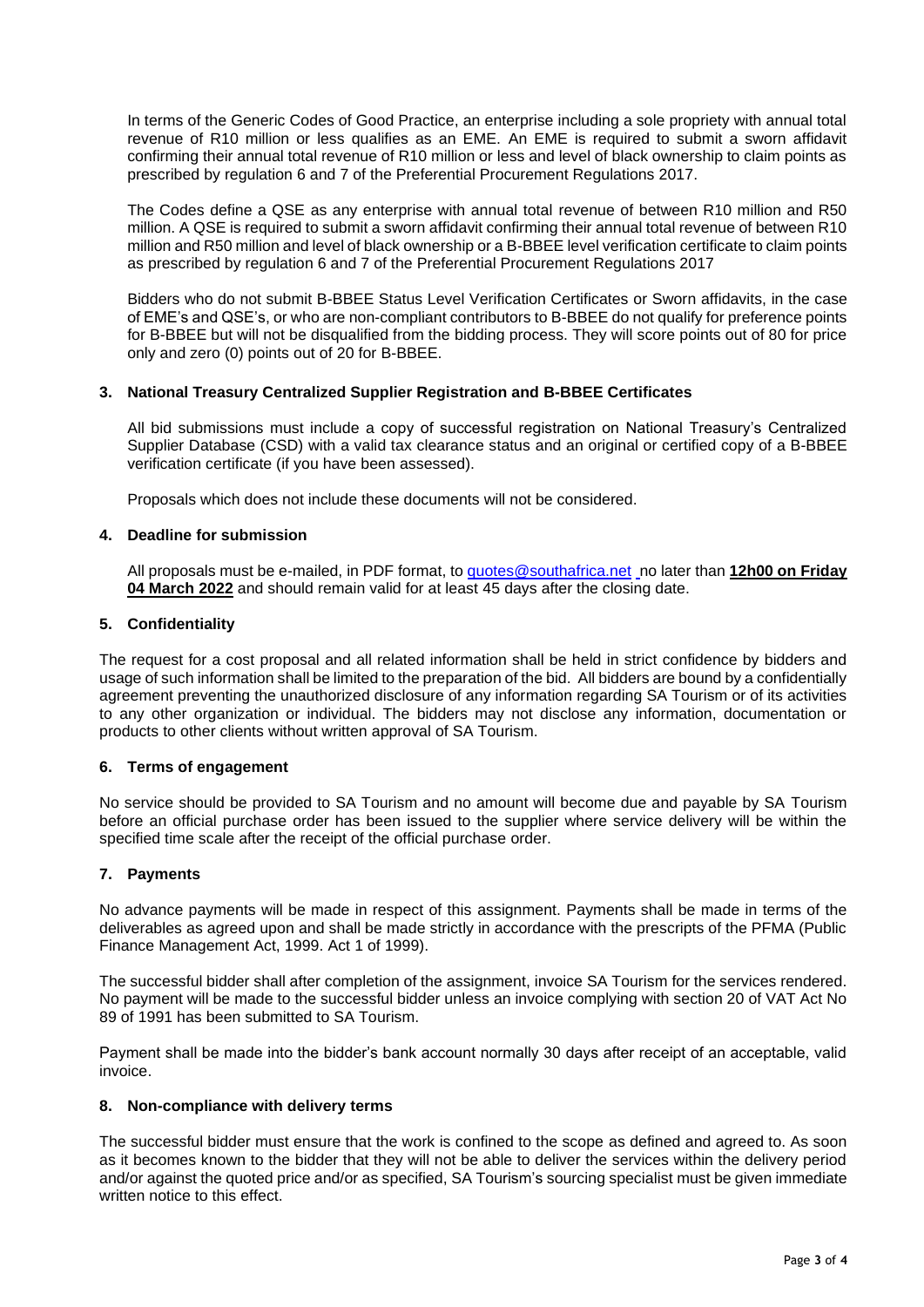In terms of the Generic Codes of Good Practice, an enterprise including a sole propriety with annual total revenue of R10 million or less qualifies as an EME. An EME is required to submit a sworn affidavit confirming their annual total revenue of R10 million or less and level of black ownership to claim points as prescribed by regulation 6 and 7 of the Preferential Procurement Regulations 2017.

The Codes define a QSE as any enterprise with annual total revenue of between R10 million and R50 million. A QSE is required to submit a sworn affidavit confirming their annual total revenue of between R10 million and R50 million and level of black ownership or a B-BBEE level verification certificate to claim points as prescribed by regulation 6 and 7 of the Preferential Procurement Regulations 2017

Bidders who do not submit B-BBEE Status Level Verification Certificates or Sworn affidavits, in the case of EME's and QSE's, or who are non-compliant contributors to B-BBEE do not qualify for preference points for B-BBEE but will not be disqualified from the bidding process. They will score points out of 80 for price only and zero (0) points out of 20 for B-BBEE.

# **3. National Treasury Centralized Supplier Registration and B-BBEE Certificates**

All bid submissions must include a copy of successful registration on National Treasury's Centralized Supplier Database (CSD) with a valid tax clearance status and an original or certified copy of a B-BBEE verification certificate (if you have been assessed).

Proposals which does not include these documents will not be considered.

### **4. Deadline for submission**

All proposals must be e-mailed, in PDF format, to [quotes@southafrica.net](mailto:sizakele@southafrica.net) no later than **12h00 on Friday 04 March 2022** and should remain valid for at least 45 days after the closing date.

### **5. Confidentiality**

The request for a cost proposal and all related information shall be held in strict confidence by bidders and usage of such information shall be limited to the preparation of the bid. All bidders are bound by a confidentially agreement preventing the unauthorized disclosure of any information regarding SA Tourism or of its activities to any other organization or individual. The bidders may not disclose any information, documentation or products to other clients without written approval of SA Tourism.

#### **6. Terms of engagement**

No service should be provided to SA Tourism and no amount will become due and payable by SA Tourism before an official purchase order has been issued to the supplier where service delivery will be within the specified time scale after the receipt of the official purchase order.

#### **7. Payments**

No advance payments will be made in respect of this assignment. Payments shall be made in terms of the deliverables as agreed upon and shall be made strictly in accordance with the prescripts of the PFMA (Public Finance Management Act, 1999. Act 1 of 1999).

The successful bidder shall after completion of the assignment, invoice SA Tourism for the services rendered. No payment will be made to the successful bidder unless an invoice complying with section 20 of VAT Act No 89 of 1991 has been submitted to SA Tourism.

Payment shall be made into the bidder's bank account normally 30 days after receipt of an acceptable, valid invoice.

### **8. Non-compliance with delivery terms**

The successful bidder must ensure that the work is confined to the scope as defined and agreed to. As soon as it becomes known to the bidder that they will not be able to deliver the services within the delivery period and/or against the quoted price and/or as specified, SA Tourism's sourcing specialist must be given immediate written notice to this effect.